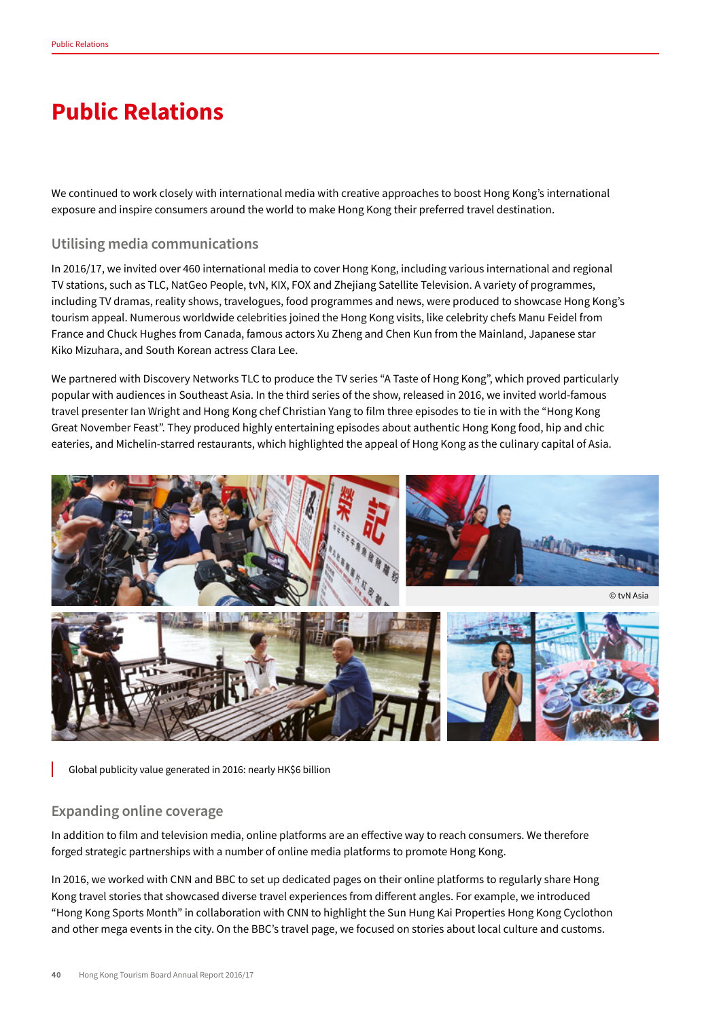## **Public Relations**

We continued to work closely with international media with creative approaches to boost Hong Kong's international exposure and inspire consumers around the world to make Hong Kong their preferred travel destination.

## **Utilising media communications**

In 2016/17, we invited over 460 international media to cover Hong Kong, including various international and regional TV stations, such as TLC, NatGeo People, tvN, KIX, FOX and Zhejiang Satellite Television. A variety of programmes, including TV dramas, reality shows, travelogues, food programmes and news, were produced to showcase Hong Kong's tourism appeal. Numerous worldwide celebrities joined the Hong Kong visits, like celebrity chefs Manu Feidel from France and Chuck Hughes from Canada, famous actors Xu Zheng and Chen Kun from the Mainland, Japanese star Kiko Mizuhara, and South Korean actress Clara Lee.

We partnered with Discovery Networks TLC to produce the TV series "A Taste of Hong Kong", which proved particularly popular with audiences in Southeast Asia. In the third series of the show, released in 2016, we invited world-famous travel presenter Ian Wright and Hong Kong chef Christian Yang to film three episodes to tie in with the "Hong Kong Great November Feast". They produced highly entertaining episodes about authentic Hong Kong food, hip and chic eateries, and Michelin-starred restaurants, which highlighted the appeal of Hong Kong as the culinary capital of Asia.



Global publicity value generated in 2016: nearly HK\$6 billion

## **Expanding online coverage**

In addition to film and television media, online platforms are an effective way to reach consumers. We therefore forged strategic partnerships with a number of online media platforms to promote Hong Kong.

In 2016, we worked with CNN and BBC to set up dedicated pages on their online platforms to regularly share Hong Kong travel stories that showcased diverse travel experiences from different angles. For example, we introduced "Hong Kong Sports Month" in collaboration with CNN to highlight the Sun Hung Kai Properties Hong Kong Cyclothon and other mega events in the city. On the BBC's travel page, we focused on stories about local culture and customs.